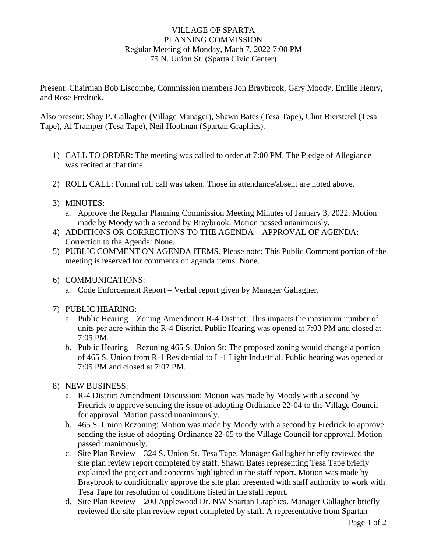## VILLAGE OF SPARTA PLANNING COMMISSION Regular Meeting of Monday, Mach 7, 2022 7:00 PM 75 N. Union St. (Sparta Civic Center)

Present: Chairman Bob Liscombe, Commission members Jon Braybrook, Gary Moody, Emilie Henry, and Rose Fredrick.

Also present: Shay P. Gallagher (Village Manager), Shawn Bates (Tesa Tape), Clint Bierstetel (Tesa Tape), Al Tramper (Tesa Tape), Neil Hoofman (Spartan Graphics).

- 1) CALL TO ORDER: The meeting was called to order at 7:00 PM. The Pledge of Allegiance was recited at that time.
- 2) ROLL CALL: Formal roll call was taken. Those in attendance/absent are noted above.
- 3) MINUTES:
	- a. Approve the Regular Planning Commission Meeting Minutes of January 3, 2022. Motion made by Moody with a second by Braybrook. Motion passed unanimously.
- 4) ADDITIONS OR CORRECTIONS TO THE AGENDA APPROVAL OF AGENDA: Correction to the Agenda: None.
- 5) PUBLIC COMMENT ON AGENDA ITEMS. Please note: This Public Comment portion of the meeting is reserved for comments on agenda items. None.
- 6) COMMUNICATIONS:
	- a. Code Enforcement Report Verbal report given by Manager Gallagher.
- 7) PUBLIC HEARING:
	- a. Public Hearing Zoning Amendment R-4 District: This impacts the maximum number of units per acre within the R-4 District. Public Hearing was opened at 7:03 PM and closed at 7:05 PM.
	- b. Public Hearing Rezoning 465 S. Union St: The proposed zoning would change a portion of 465 S. Union from R-1 Residential to L-1 Light Industrial. Public hearing was opened at 7:05 PM and closed at 7:07 PM.
- 8) NEW BUSINESS:
	- a. R-4 District Amendment Discussion: Motion was made by Moody with a second by Fredrick to approve sending the issue of adopting Ordinance 22-04 to the Village Council for approval. Motion passed unanimously.
	- b. 465 S. Union Rezoning: Motion was made by Moody with a second by Fredrick to approve sending the issue of adopting Ordinance 22-05 to the Village Council for approval. Motion passed unanimously.
	- c. Site Plan Review 324 S. Union St. Tesa Tape. Manager Gallagher briefly reviewed the site plan review report completed by staff. Shawn Bates representing Tesa Tape briefly explained the project and concerns highlighted in the staff report. Motion was made by Braybrook to conditionally approve the site plan presented with staff authority to work with Tesa Tape for resolution of conditions listed in the staff report.
	- d. Site Plan Review 200 Applewood Dr. NW Spartan Graphics. Manager Gallagher briefly reviewed the site plan review report completed by staff. A representative from Spartan